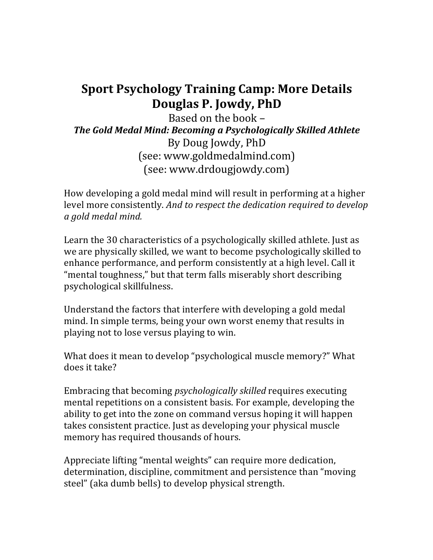## **Sport Psychology Training Camp: More Details Douglas P. Jowdy, PhD**

Based on the book  $-$ **The Gold Medal Mind: Becoming a Psychologically Skilled Athlete** By Doug Jowdy, PhD (see: www.goldmedalmind.com) (see: www.drdougjowdy.com)

How developing a gold medal mind will result in performing at a higher level more consistently. And to respect the dedication required to develop *a gold medal mind.*

Learn the 30 characteristics of a psychologically skilled athlete. Just as we are physically skilled, we want to become psychologically skilled to enhance performance, and perform consistently at a high level. Call it "mental toughness," but that term falls miserably short describing psychological skillfulness.

Understand the factors that interfere with developing a gold medal mind. In simple terms, being your own worst enemy that results in playing not to lose versus playing to win.

What does it mean to develop "psychological muscle memory?" What does it take?

Embracing that becoming *psychologically skilled* requires executing mental repetitions on a consistent basis. For example, developing the ability to get into the zone on command versus hoping it will happen takes consistent practice. Just as developing your physical muscle memory has required thousands of hours.

Appreciate lifting "mental weights" can require more dedication, determination, discipline, commitment and persistence than "moving" steel" (aka dumb bells) to develop physical strength.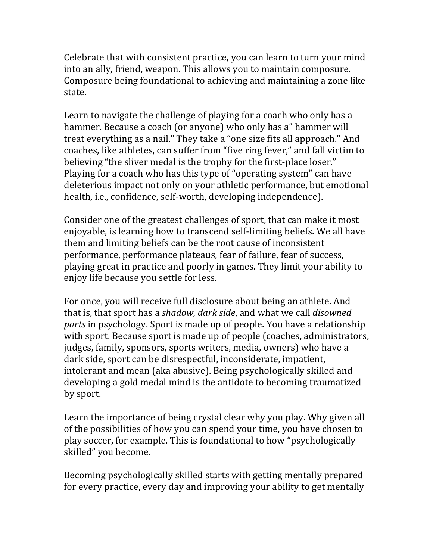Celebrate that with consistent practice, you can learn to turn your mind into an ally, friend, weapon. This allows you to maintain composure. Composure being foundational to achieving and maintaining a zone like state. 

Learn to navigate the challenge of playing for a coach who only has a hammer. Because a coach (or anyone) who only has a" hammer will treat everything as a nail." They take a "one size fits all approach." And coaches, like athletes, can suffer from "five ring fever," and fall victim to believing "the sliver medal is the trophy for the first-place loser." Playing for a coach who has this type of "operating system" can have deleterious impact not only on your athletic performance, but emotional health, *i.e.*, confidence, self-worth, developing independence).

Consider one of the greatest challenges of sport, that can make it most enjoyable, is learning how to transcend self-limiting beliefs. We all have them and limiting beliefs can be the root cause of inconsistent performance, performance plateaus, fear of failure, fear of success, playing great in practice and poorly in games. They limit your ability to enjoy life because you settle for less.

For once, you will receive full disclosure about being an athlete. And that is, that sport has a *shadow, dark side*, and what we call *disowned parts* in psychology. Sport is made up of people. You have a relationship with sport. Because sport is made up of people (coaches, administrators, judges, family, sponsors, sports writers, media, owners) who have a dark side, sport can be disrespectful, inconsiderate, impatient, intolerant and mean (aka abusive). Being psychologically skilled and developing a gold medal mind is the antidote to becoming traumatized by sport.

Learn the importance of being crystal clear why you play. Why given all of the possibilities of how you can spend your time, you have chosen to play soccer, for example. This is foundational to how "psychologically skilled" you become.

Becoming psychologically skilled starts with getting mentally prepared for every practice, every day and improving your ability to get mentally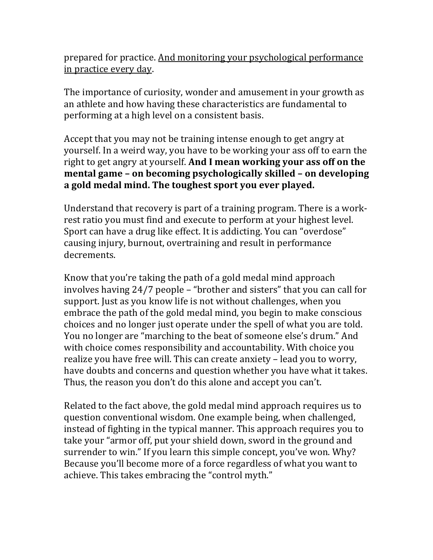prepared for practice. And monitoring your psychological performance in practice every day.

The importance of curiosity, wonder and amusement in your growth as an athlete and how having these characteristics are fundamental to performing at a high level on a consistent basis.

Accept that you may not be training intense enough to get angry at yourself. In a weird way, you have to be working your ass off to earn the right to get angry at yourself. And I mean working your ass off on the **mental game – on becoming psychologically skilled – on developing** a gold medal mind. The toughest sport you ever played.

Understand that recovery is part of a training program. There is a workrest ratio you must find and execute to perform at your highest level. Sport can have a drug like effect. It is addicting. You can "overdose" causing injury, burnout, overtraining and result in performance decrements.

Know that you're taking the path of a gold medal mind approach involves having  $24/7$  people  $-$  "brother and sisters" that you can call for support. Just as you know life is not without challenges, when you embrace the path of the gold medal mind, you begin to make conscious choices and no longer just operate under the spell of what you are told. You no longer are "marching to the beat of someone else's drum." And with choice comes responsibility and accountability. With choice you realize you have free will. This can create anxiety - lead you to worry, have doubts and concerns and question whether you have what it takes. Thus, the reason you don't do this alone and accept you can't.

Related to the fact above, the gold medal mind approach requires us to question conventional wisdom. One example being, when challenged, instead of fighting in the typical manner. This approach requires you to take your "armor off, put your shield down, sword in the ground and surrender to win." If you learn this simple concept, you've won. Why? Because you'll become more of a force regardless of what you want to achieve. This takes embracing the "control myth."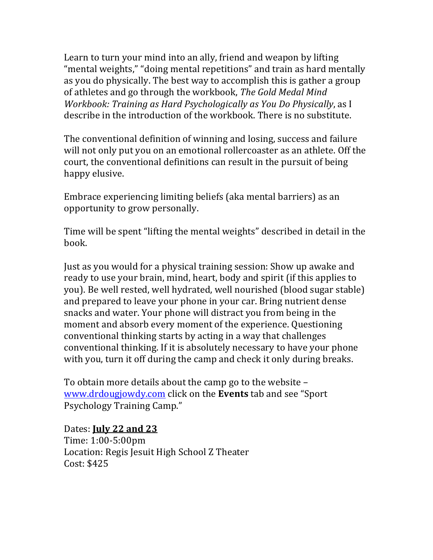Learn to turn your mind into an ally, friend and weapon by lifting "mental weights," "doing mental repetitions" and train as hard mentally as you do physically. The best way to accomplish this is gather a group of athletes and go through the workbook, *The Gold Medal Mind Workbook: Training as Hard Psychologically as You Do Physically*, as I describe in the introduction of the workbook. There is no substitute.

The conventional definition of winning and losing, success and failure will not only put you on an emotional rollercoaster as an athlete. Off the court, the conventional definitions can result in the pursuit of being happy elusive.

Embrace experiencing limiting beliefs (aka mental barriers) as an opportunity to grow personally.

Time will be spent "lifting the mental weights" described in detail in the book.

Just as you would for a physical training session: Show up awake and ready to use your brain, mind, heart, body and spirit (if this applies to you). Be well rested, well hydrated, well nourished (blood sugar stable) and prepared to leave your phone in your car. Bring nutrient dense snacks and water. Your phone will distract you from being in the moment and absorb every moment of the experience. Questioning conventional thinking starts by acting in a way that challenges conventional thinking. If it is absolutely necessary to have your phone with you, turn it off during the camp and check it only during breaks.

To obtain more details about the camp go to the website  $$ www.drdougjowdy.com click on the **Events** tab and see "Sport" Psychology Training Camp."

## Dates: **July 22 and 23**

Time: 1:00-5:00pm Location: Regis Jesuit High School Z Theater Cost: \$425